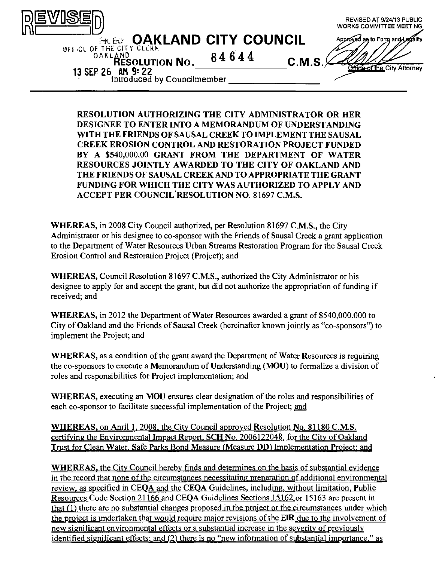

**RESOLUTION AUTHORIZING THE CITY ADMINISTRATOR OR HER DESIGNEE TO ENTER INTO A MEMORANDUM OF UNDERSTANDING WITH THE FRIENDS OF SAUSAL CREEK TO IMPLEMENT THE SAUSAL CREEK EROSION CONTROL AND RESTORATION PROJECT FUNDED BV A \$540,000.00 GRANT FROM THE DEPARTMENT OF WATER RESOURCES JOINTLY AWARDED TO THE CITY OF OAKLAND AND THE FRIENDS OF SAUSAL CREEK AND TO APPROPRIATE THE GRANT FUNDING FOR WHICH THE CITY WAS AUTHORIZED TO APPLY AND ACCEPT PER COUNCIL RESOLUTION NO. 81697 C.M.S.** 

WHEREAS, in 2008 City Council authorized, per Resolution 81697 C.M.S., the City Administrator or his designee to co-sponsor with the Friends of Sausal Creek a grant application to the Department of Water Resources Urban Streams Restoration Program for the Sausal Creek Erosion Control and Restoration Project (Project); and

WHEREAS, Council Resolution 81697 C.M.S., authorized the City Administrator or his designee to apply for and accept the grant, but did not authorize the appropriation of funding if received; and

WHEREAS, in 2012 the Department of Water Resources awarded a grant of \$540,000,000 to City of Oakland and the Friends of Sausal Creek (hereinafter known jointly as "co-sponsors") to implement the Project; and

WHEREAS, as a condition of the grant award the Department of Water Resources is requiring the co-sponsors to execute a Memorandum of Understanding (MOU) to formalize a division of roles and responsibilities for Project implementation; and

WHEREAS, executing an MOU ensures clear designation of the roles and responsibilities of each co-sponsor to facilitate successful implementation of the Project; and

WHEREAS, on Anril 1. 2008. the Citv Council approved Resolution No. 81180 C.M.S. certifying the Environmental Impact Report, SCH No. 2006122048, for the City of Oakland Trust for Clean Water, Safe Parks Bond Measure (Measure DD) Implementation Project; and

WHEREAS, the City Council hereby finds and determines on the basis of substantial evidence in the record that none of the circumstances necessitating preparation of additional environmental review, as specified in CEOA and the CEOA Guidelines, including, without limitation, Public Resources Code Section 21166 and CEOA Guidelines Sections 15162 or 15163 are present in that  $(1)$  there are no substantial changes proposed in the project or the circumstances under which the project is undertaken that would require major revisions of the EIR due to the involvement of new significant environmental effects or a substantial increase in the severity of previously identified significant effects; and (2) there is no "new information of substantial importance," as